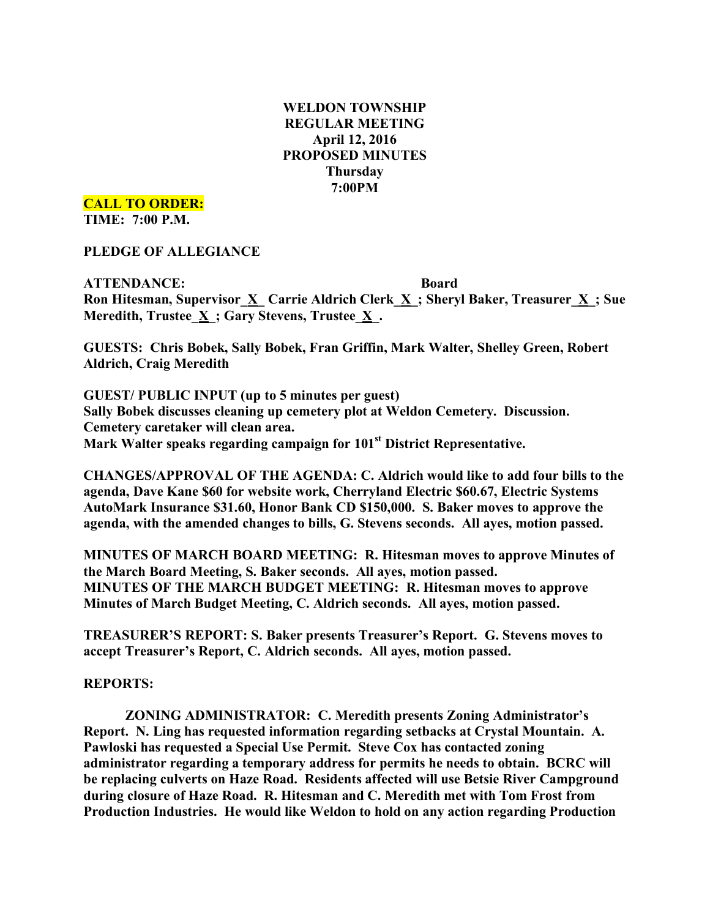# **WELDON TOWNSHIP REGULAR MEETING April 12, 2016 PROPOSED MINUTES Thursday 7:00PM**

**CALL TO ORDER:**

**TIME: 7:00 P.M.**

**PLEDGE OF ALLEGIANCE**

**ATTENDANCE: Board Ron Hitesman, Supervisor\_X\_ Carrie Aldrich Clerk\_X\_; Sheryl Baker, Treasurer\_X\_; Sue Meredith, Trustee\_X\_; Gary Stevens, Trustee\_X\_.**

**GUESTS: Chris Bobek, Sally Bobek, Fran Griffin, Mark Walter, Shelley Green, Robert Aldrich, Craig Meredith**

**GUEST/ PUBLIC INPUT (up to 5 minutes per guest) Sally Bobek discusses cleaning up cemetery plot at Weldon Cemetery. Discussion. Cemetery caretaker will clean area. Mark Walter speaks regarding campaign for 101st District Representative.**

**CHANGES/APPROVAL OF THE AGENDA: C. Aldrich would like to add four bills to the agenda, Dave Kane \$60 for website work, Cherryland Electric \$60.67, Electric Systems AutoMark Insurance \$31.60, Honor Bank CD \$150,000. S. Baker moves to approve the agenda, with the amended changes to bills, G. Stevens seconds. All ayes, motion passed.**

**MINUTES OF MARCH BOARD MEETING: R. Hitesman moves to approve Minutes of the March Board Meeting, S. Baker seconds. All ayes, motion passed. MINUTES OF THE MARCH BUDGET MEETING: R. Hitesman moves to approve Minutes of March Budget Meeting, C. Aldrich seconds. All ayes, motion passed.**

**TREASURER'S REPORT: S. Baker presents Treasurer's Report. G. Stevens moves to accept Treasurer's Report, C. Aldrich seconds. All ayes, motion passed.**

**REPORTS:**

**ZONING ADMINISTRATOR: C. Meredith presents Zoning Administrator's Report. N. Ling has requested information regarding setbacks at Crystal Mountain. A. Pawloski has requested a Special Use Permit. Steve Cox has contacted zoning administrator regarding a temporary address for permits he needs to obtain. BCRC will be replacing culverts on Haze Road. Residents affected will use Betsie River Campground during closure of Haze Road. R. Hitesman and C. Meredith met with Tom Frost from Production Industries. He would like Weldon to hold on any action regarding Production**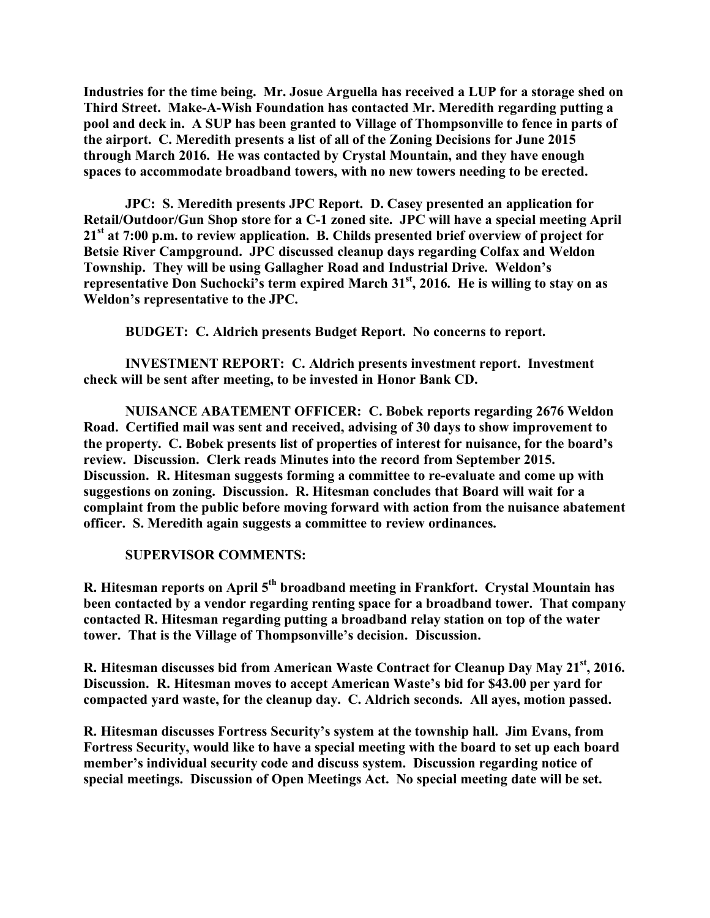**Industries for the time being. Mr. Josue Arguella has received a LUP for a storage shed on Third Street. Make-A-Wish Foundation has contacted Mr. Meredith regarding putting a pool and deck in. A SUP has been granted to Village of Thompsonville to fence in parts of the airport. C. Meredith presents a list of all of the Zoning Decisions for June 2015 through March 2016. He was contacted by Crystal Mountain, and they have enough spaces to accommodate broadband towers, with no new towers needing to be erected.**

**JPC: S. Meredith presents JPC Report. D. Casey presented an application for Retail/Outdoor/Gun Shop store for a C-1 zoned site. JPC will have a special meeting April 21st at 7:00 p.m. to review application. B. Childs presented brief overview of project for Betsie River Campground. JPC discussed cleanup days regarding Colfax and Weldon Township. They will be using Gallagher Road and Industrial Drive. Weldon's representative Don Suchocki's term expired March 31st , 2016. He is willing to stay on as Weldon's representative to the JPC.**

**BUDGET: C. Aldrich presents Budget Report. No concerns to report.**

**INVESTMENT REPORT: C. Aldrich presents investment report. Investment check will be sent after meeting, to be invested in Honor Bank CD.**

**NUISANCE ABATEMENT OFFICER: C. Bobek reports regarding 2676 Weldon Road. Certified mail was sent and received, advising of 30 days to show improvement to the property. C. Bobek presents list of properties of interest for nuisance, for the board's review. Discussion. Clerk reads Minutes into the record from September 2015. Discussion. R. Hitesman suggests forming a committee to re-evaluate and come up with suggestions on zoning. Discussion. R. Hitesman concludes that Board will wait for a complaint from the public before moving forward with action from the nuisance abatement officer. S. Meredith again suggests a committee to review ordinances.**

### **SUPERVISOR COMMENTS:**

**R. Hitesman reports on April 5th broadband meeting in Frankfort. Crystal Mountain has been contacted by a vendor regarding renting space for a broadband tower. That company contacted R. Hitesman regarding putting a broadband relay station on top of the water tower. That is the Village of Thompsonville's decision. Discussion.**

**R. Hitesman discusses bid from American Waste Contract for Cleanup Day May 21st , 2016. Discussion. R. Hitesman moves to accept American Waste's bid for \$43.00 per yard for compacted yard waste, for the cleanup day. C. Aldrich seconds. All ayes, motion passed.**

**R. Hitesman discusses Fortress Security's system at the township hall. Jim Evans, from Fortress Security, would like to have a special meeting with the board to set up each board member's individual security code and discuss system. Discussion regarding notice of special meetings. Discussion of Open Meetings Act. No special meeting date will be set.**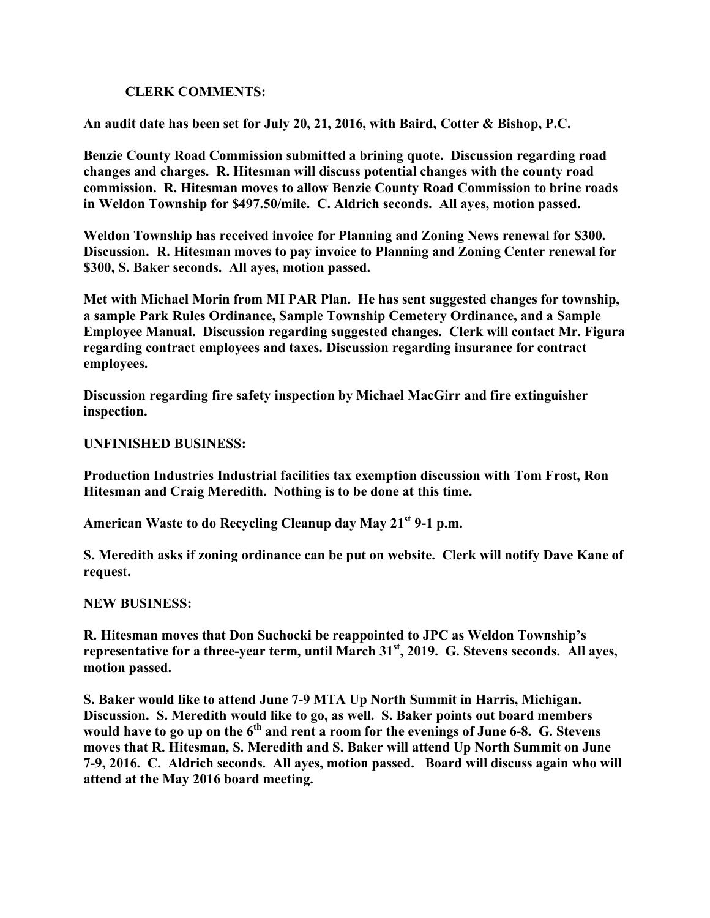# **CLERK COMMENTS:**

**An audit date has been set for July 20, 21, 2016, with Baird, Cotter & Bishop, P.C.**

**Benzie County Road Commission submitted a brining quote. Discussion regarding road changes and charges. R. Hitesman will discuss potential changes with the county road commission. R. Hitesman moves to allow Benzie County Road Commission to brine roads in Weldon Township for \$497.50/mile. C. Aldrich seconds. All ayes, motion passed.**

**Weldon Township has received invoice for Planning and Zoning News renewal for \$300. Discussion. R. Hitesman moves to pay invoice to Planning and Zoning Center renewal for \$300, S. Baker seconds. All ayes, motion passed.**

**Met with Michael Morin from MI PAR Plan. He has sent suggested changes for township, a sample Park Rules Ordinance, Sample Township Cemetery Ordinance, and a Sample Employee Manual. Discussion regarding suggested changes. Clerk will contact Mr. Figura regarding contract employees and taxes. Discussion regarding insurance for contract employees.**

**Discussion regarding fire safety inspection by Michael MacGirr and fire extinguisher inspection.**

## **UNFINISHED BUSINESS:**

**Production Industries Industrial facilities tax exemption discussion with Tom Frost, Ron Hitesman and Craig Meredith. Nothing is to be done at this time.**

**American Waste to do Recycling Cleanup day May 21st 9-1 p.m.**

**S. Meredith asks if zoning ordinance can be put on website. Clerk will notify Dave Kane of request.**

### **NEW BUSINESS:**

**R. Hitesman moves that Don Suchocki be reappointed to JPC as Weldon Township's representative for a three-year term, until March 31st , 2019. G. Stevens seconds. All ayes, motion passed.**

**S. Baker would like to attend June 7-9 MTA Up North Summit in Harris, Michigan. Discussion. S. Meredith would like to go, as well. S. Baker points out board members would have to go up on the 6th and rent a room for the evenings of June 6-8. G. Stevens moves that R. Hitesman, S. Meredith and S. Baker will attend Up North Summit on June 7-9, 2016. C. Aldrich seconds. All ayes, motion passed. Board will discuss again who will attend at the May 2016 board meeting.**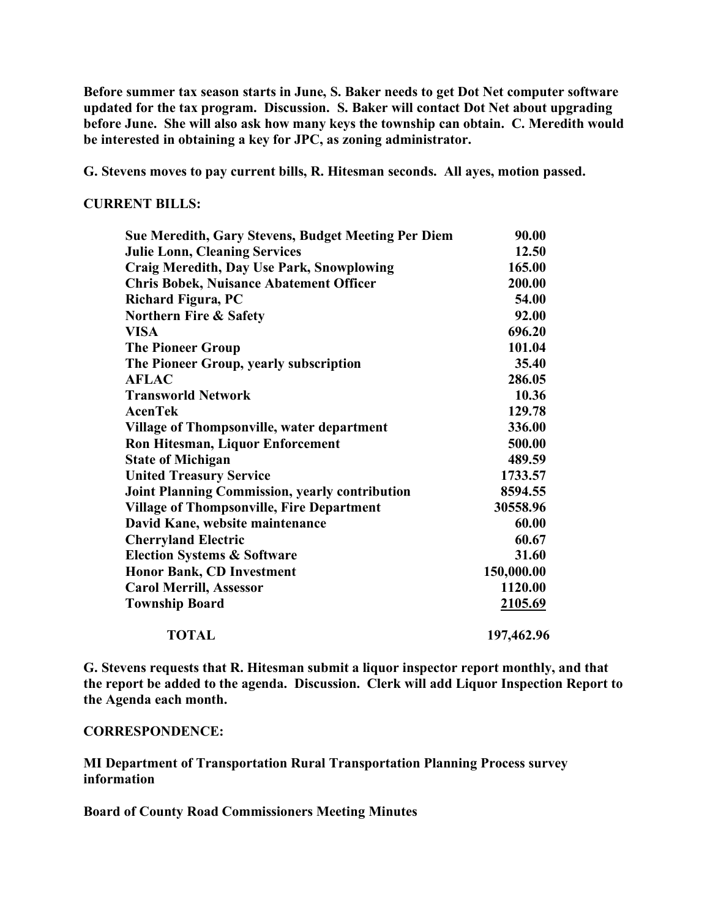**Before summer tax season starts in June, S. Baker needs to get Dot Net computer software updated for the tax program. Discussion. S. Baker will contact Dot Net about upgrading before June. She will also ask how many keys the township can obtain. C. Meredith would be interested in obtaining a key for JPC, as zoning administrator.**

**G. Stevens moves to pay current bills, R. Hitesman seconds. All ayes, motion passed.**

**CURRENT BILLS:**

| Sue Meredith, Gary Stevens, Budget Meeting Per Diem   | 90.00      |
|-------------------------------------------------------|------------|
| <b>Julie Lonn, Cleaning Services</b>                  | 12.50      |
| <b>Craig Meredith, Day Use Park, Snowplowing</b>      | 165.00     |
| <b>Chris Bobek, Nuisance Abatement Officer</b>        | 200.00     |
| <b>Richard Figura, PC</b>                             | 54.00      |
| <b>Northern Fire &amp; Safety</b>                     | 92.00      |
| <b>VISA</b>                                           | 696.20     |
| <b>The Pioneer Group</b>                              | 101.04     |
| The Pioneer Group, yearly subscription                | 35.40      |
| <b>AFLAC</b>                                          | 286.05     |
| <b>Transworld Network</b>                             | 10.36      |
| <b>AcenTek</b>                                        | 129.78     |
| <b>Village of Thompsonville, water department</b>     | 336.00     |
| <b>Ron Hitesman, Liquor Enforcement</b>               | 500.00     |
| <b>State of Michigan</b>                              | 489.59     |
| <b>United Treasury Service</b>                        | 1733.57    |
| <b>Joint Planning Commission, yearly contribution</b> | 8594.55    |
| <b>Village of Thompsonville, Fire Department</b>      | 30558.96   |
| David Kane, website maintenance                       | 60.00      |
| <b>Cherryland Electric</b>                            | 60.67      |
| <b>Election Systems &amp; Software</b>                | 31.60      |
| <b>Honor Bank, CD Investment</b>                      | 150,000.00 |
| <b>Carol Merrill, Assessor</b>                        | 1120.00    |
| <b>Township Board</b>                                 | 2105.69    |
| <b>TOTAL</b>                                          | 197,462.96 |

**G. Stevens requests that R. Hitesman submit a liquor inspector report monthly, and that the report be added to the agenda. Discussion. Clerk will add Liquor Inspection Report to the Agenda each month.**

#### **CORRESPONDENCE:**

**MI Department of Transportation Rural Transportation Planning Process survey information**

**Board of County Road Commissioners Meeting Minutes**